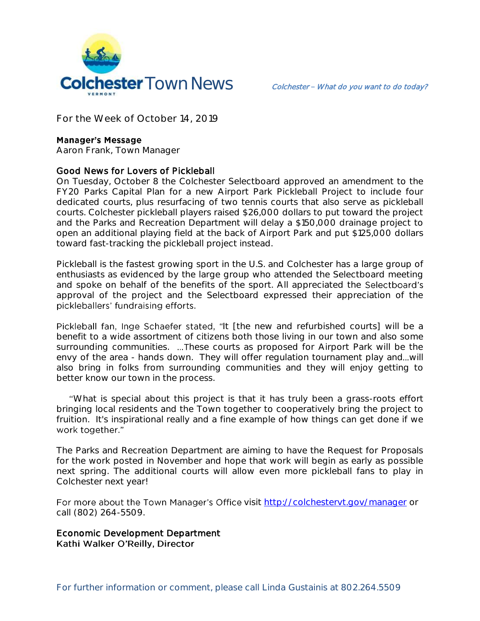

**For the Week of October 14, 2019**

### **Manager's Message**

**Aaron Frank, Town Manager**

### Good News for Lovers of Pickleball

On Tuesday, October 8 the Colchester Selectboard approved an amendment to the FY20 Parks Capital Plan for a new Airport Park Pickleball Project to include four dedicated courts, plus resurfacing of two tennis courts that also serve as pickleball courts. Colchester pickleball players raised \$26,000 dollars to put toward the project and the Parks and Recreation Department will delay a \$150,000 drainage project to open an additional playing field at the back of Airport Park and put \$125,000 dollars toward fast-tracking the pickleball project instead.

Pickleball is the fastest growing sport in the U.S. and Colchester has a large group of enthusiasts as evidenced by the large group who attended the Selectboard meeting and spoke on behalf of the benefits of the sport. All appreciated the Selectboard's approval of the project and the Selectboard expressed their appreciation of the pickleballers' fundraising efforts.

Pickleball fan, Inge Schaefer stated, "It [the new and refurbished courts] will be a benefit to a wide assortment of citizens both those living in our town and also some surrounding communities. ...These courts as proposed for Airport Park will be the envy of the area - hands down. They will offer regulation tournament play and...will also bring in folks from surrounding communities and they will enjoy getting to better know our town in the process.

 What is special about this project is that it has truly been a grass-roots effort bringing local residents and the Town together to cooperatively bring the project to fruition. It's inspirational really and a fine example of how things can get done if we work together."

The Parks and Recreation Department are aiming to have the Request for Proposals for the work posted in November and hope that work will begin as early as possible next spring. The additional courts will allow even more pickleball fans to play in Colchester next year!

For more about the Town Manager's Office visit<http://colchestervt.gov/manager> or call (802) 264-5509.

Economic Development Department Kathi Walker O'Reilly, Director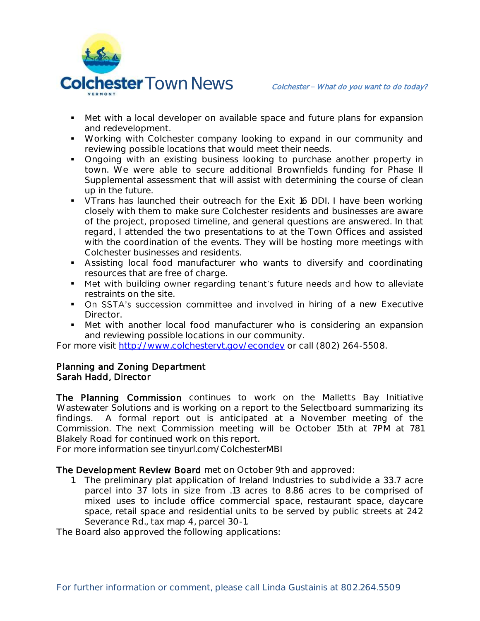

- Met with a local developer on available space and future plans for expansion and redevelopment.
- Working with Colchester company looking to expand in our community and reviewing possible locations that would meet their needs.
- Ongoing with an existing business looking to purchase another property in town. We were able to secure additional Brownfields funding for Phase II Supplemental assessment that will assist with determining the course of clean up in the future.
- **VTrans has launched their outreach for the Exit 16 DDI. I have been working** closely with them to make sure Colchester residents and businesses are aware of the project, proposed timeline, and general questions are answered. In that regard, I attended the two presentations to at the Town Offices and assisted with the coordination of the events. They will be hosting more meetings with Colchester businesses and residents.
- Assisting local food manufacturer who wants to diversify and coordinating resources that are free of charge.
- " Met with building owner regarding tenant's future needs and how to alleviate restraints on the site.
- On SSTA's succession committee and involved in hiring of a new Executive Director.
- Met with another local food manufacturer who is considering an expansion and reviewing possible locations in our community.

For more visit [http://www.colchestervt.gov/e](http://www.colchestervt.gov/)condev or call (802) 264-5508.

## Planning and Zoning Department Sarah Hadd, Director

The Planning Commission continues to work on the Malletts Bay Initiative Wastewater Solutions and is working on a report to the Selectboard summarizing its findings. A formal report out is anticipated at a November meeting of the Commission. The next Commission meeting will be October 15th at 7PM at 781 Blakely Road for continued work on this report.

For more information see tinyurl.com/ColchesterMBI

## The Development Review Board met on October 9th and approved:

1. The preliminary plat application of Ireland Industries to subdivide a 33.7 acre parcel into 37 lots in size from .13 acres to 8.86 acres to be comprised of mixed uses to include office commercial space, restaurant space, daycare space, retail space and residential units to be served by public streets at 242 Severance Rd., tax map 4, parcel 30-1.

The Board also approved the following applications: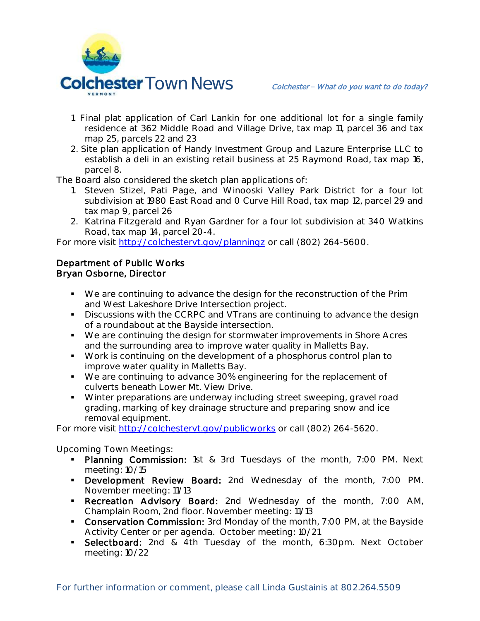

- 1. Final plat application of Carl Lankin for one additional lot for a single family residence at 362 Middle Road and Village Drive, tax map 11, parcel 36 and tax map 25, parcels 22 and 23
- 2. Site plan application of Handy Investment Group and Lazure Enterprise LLC to establish a deli in an existing retail business at 25 Raymond Road, tax map 16, parcel 8.

The Board also considered the sketch plan applications of:

- 1. Steven Stizel, Pati Page, and Winooski Valley Park District for a four lot subdivision at 1980 East Road and 0 Curve Hill Road, tax map 12, parcel 29 and tax map 9, parcel 26
- 2. Katrina Fitzgerald and Ryan Gardner for a four lot subdivision at 340 Watkins Road, tax map 14, parcel 20-4.

For more visit<http://colchestervt.gov/planningz> or call (802) 264-5600.

# Department of Public Works Bryan Osborne, Director

- We are continuing to advance the design for the reconstruction of the Prim and West Lakeshore Drive Intersection project.
- Discussions with the CCRPC and VTrans are continuing to advance the design of a roundabout at the Bayside intersection.
- We are continuing the design for stormwater improvements in Shore Acres and the surrounding area to improve water quality in Malletts Bay.
- Work is continuing on the development of a phosphorus control plan to improve water quality in Malletts Bay.
- We are continuing to advance 30% engineering for the replacement of culverts beneath Lower Mt. View Drive.
- Winter preparations are underway including street sweeping, gravel road grading, marking of key drainage structure and preparing snow and ice removal equipment.

For more visit<http://colchestervt.gov/publicworks> or call (802) 264-5620.

## **Upcoming Town Meetings:**

- **Planning Commission:** 1st & 3rd Tuesdays of the month, 7:00 PM. Next meeting: 10/15
- **Development Review Board:** 2nd Wednesday of the month, 7:00 PM. November meeting: 11/13
- **Recreation Advisory Board:** 2nd Wednesday of the month, 7:00 AM, Champlain Room, 2nd floor. November meeting: 11/13
- **Conservation Commission:** 3rd Monday of the month, 7:00 PM, at the Bayside Activity Center or per agenda. October meeting: 10/21
- **Selectboard:** 2nd & 4th Tuesday of the month, 6:30pm. Next October meeting: 10/22